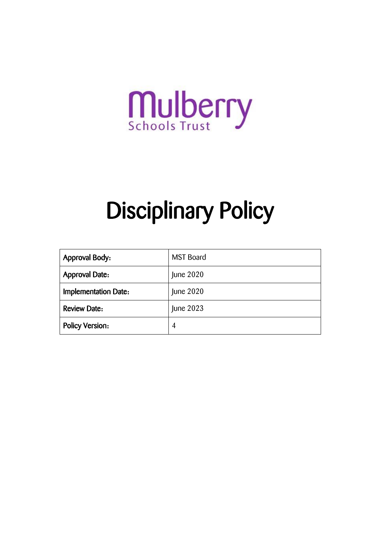

# Disciplinary Policy

| <b>Approval Body:</b>       | <b>MST Board</b> |
|-----------------------------|------------------|
| <b>Approval Date:</b>       | June 2020        |
| <b>Implementation Date:</b> | June 2020        |
| <b>Review Date:</b>         | June 2023        |
| <b>Policy Version:</b>      | 4                |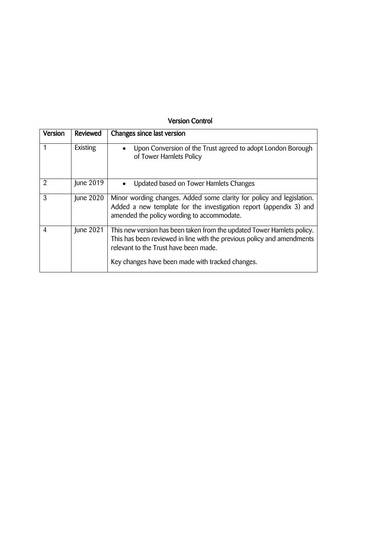#### Version Control

| Version | <b>Reviewed</b> | Changes since last version                                                                                                                                                                                                                    |
|---------|-----------------|-----------------------------------------------------------------------------------------------------------------------------------------------------------------------------------------------------------------------------------------------|
|         | Existing        | Upon Conversion of the Trust agreed to adopt London Borough<br>of Tower Hamlets Policy                                                                                                                                                        |
| 2       | June 2019       | Updated based on Tower Hamlets Changes                                                                                                                                                                                                        |
| 3       | June 2020       | Minor wording changes. Added some clarity for policy and legislation.<br>Added a new template for the investigation report (appendix 3) and<br>amended the policy wording to accommodate.                                                     |
| 4       | June 2021       | This new version has been taken from the updated Tower Hamlets policy.<br>This has been reviewed in line with the previous policy and amendments<br>relevant to the Trust have been made.<br>Key changes have been made with tracked changes. |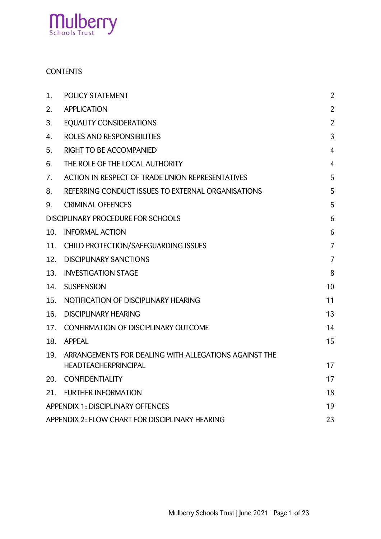

#### **CONTENTS**

| 1.                                              | <b>POLICY STATEMENT</b>                                                              | $\overline{2}$ |  |
|-------------------------------------------------|--------------------------------------------------------------------------------------|----------------|--|
| 2.                                              | <b>APPLICATION</b>                                                                   | $\overline{2}$ |  |
| 3.                                              | <b>EQUALITY CONSIDERATIONS</b>                                                       | $\overline{2}$ |  |
| 4.                                              | ROLES AND RESPONSIBILITIES                                                           | 3              |  |
| 5.                                              | RIGHT TO BE ACCOMPANIED                                                              | $\overline{4}$ |  |
| 6.                                              | THE ROLE OF THE LOCAL AUTHORITY                                                      | $\overline{4}$ |  |
| 7.                                              | ACTION IN RESPECT OF TRADE UNION REPRESENTATIVES                                     | 5              |  |
| 8.                                              | REFERRING CONDUCT ISSUES TO EXTERNAL ORGANISATIONS                                   | 5              |  |
| 9.                                              | <b>CRIMINAL OFFENCES</b>                                                             | 5              |  |
| DISCIPLINARY PROCEDURE FOR SCHOOLS<br>6         |                                                                                      |                |  |
| 10.                                             | <b>INFORMAL ACTION</b>                                                               | 6              |  |
| 11.                                             | CHILD PROTECTION/SAFEGUARDING ISSUES                                                 | $\overline{7}$ |  |
| 12.                                             | <b>DISCIPLINARY SANCTIONS</b>                                                        | $\overline{7}$ |  |
| 13.                                             | <b>INVESTIGATION STAGE</b>                                                           | 8              |  |
| 14.                                             | <b>SUSPENSION</b>                                                                    | 10             |  |
| 15.                                             | NOTIFICATION OF DISCIPLINARY HEARING                                                 | 11             |  |
| 16.                                             | <b>DISCIPLINARY HEARING</b>                                                          | 13             |  |
| 17.                                             | <b>CONFIRMATION OF DISCIPLINARY OUTCOME</b>                                          | 14             |  |
| 18.                                             | <b>APPEAL</b>                                                                        | 15             |  |
| 19.                                             | ARRANGEMENTS FOR DEALING WITH ALLEGATIONS AGAINST THE<br><b>HEADTEACHERPRINCIPAL</b> | 17             |  |
| 20.                                             | <b>CONFIDENTIALITY</b>                                                               | 17             |  |
| 21.                                             | <b>FURTHER INFORMATION</b>                                                           | 18             |  |
|                                                 | <b>APPENDIX 1: DISCIPLINARY OFFENCES</b>                                             | 19             |  |
| APPENDIX 2: FLOW CHART FOR DISCIPLINARY HEARING |                                                                                      |                |  |
|                                                 |                                                                                      | 23             |  |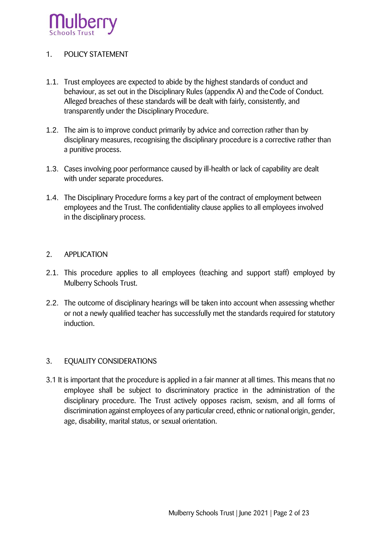

#### <span id="page-3-0"></span>1. POLICY STATEMENT

- 1.1. Trust employees are expected to abide by the highest standards of conduct and behaviour, as set out in the Disciplinary Rules (appendix A) and the Code of Conduct. Alleged breaches of these standards will be dealt with fairly, consistently, and transparently under the Disciplinary Procedure.
- 1.2. The aim is to improve conduct primarily by advice and correction rather than by disciplinary measures, recognising the disciplinary procedure is a corrective rather than a punitive process.
- 1.3. Cases involving poor performance caused by ill-health or lack of capability are dealt with under separate procedures.
- 1.4. The Disciplinary Procedure forms a key part of the contract of employment between employees and the Trust. The confidentiality clause applies to all employees involved in the disciplinary process.

#### <span id="page-3-1"></span>2. APPLICATION

- 2.1. This procedure applies to all employees (teaching and support staff) employed by Mulberry Schools Trust.
- 2.2. The outcome of disciplinary hearings will be taken into account when assessing whether or not a newly qualified teacher has successfully met the standards required for statutory induction.

#### <span id="page-3-2"></span>3. EQUALITY CONSIDERATIONS

3.1 It is important that the procedure is applied in a fair manner at all times. This means that no employee shall be subject to discriminatory practice in the administration of the disciplinary procedure. The Trust actively opposes racism, sexism, and all forms of discrimination against employees of any particular creed, ethnic or national origin, gender, age, disability, marital status, or sexual orientation.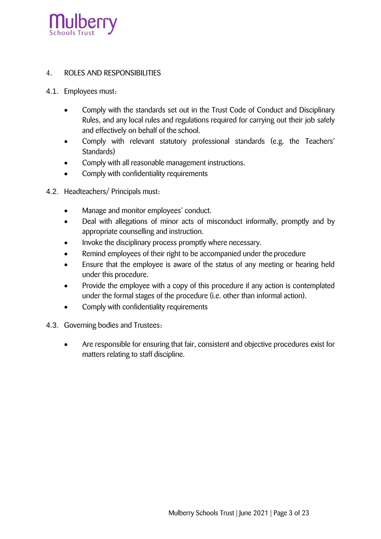

#### <span id="page-4-0"></span>4. ROLES AND RESPONSIBILITIES

- 4.1. Employees must:
	- Comply with the standards set out in the Trust Code of Conduct and Disciplinary Rules, and any local rules and regulations required for carrying out their job safely and effectively on behalf of the school.
	- Comply with relevant statutory professional standards (e.g. the Teachers' Standards)
	- Comply with all reasonable management instructions.
	- Comply with confidentiality requirements
- 4.2. Headteachers/ Principals must:
	- Manage and monitor employees' conduct.
	- Deal with allegations of minor acts of misconduct informally, promptly and by appropriate counselling and instruction.
	- Invoke the disciplinary process promptly where necessary.
	- Remind employees of their right to be accompanied under the procedure
	- Ensure that the employee is aware of the status of any meeting or hearing held under this procedure.
	- Provide the employee with a copy of this procedure if any action is contemplated under the formal stages of the procedure (i.e. other than informal action).
	- Comply with confidentiality requirements
- 4.3. Governing bodies and Trustees:
	- Are responsible for ensuring that fair, consistent and objective procedures exist for matters relating to staff discipline.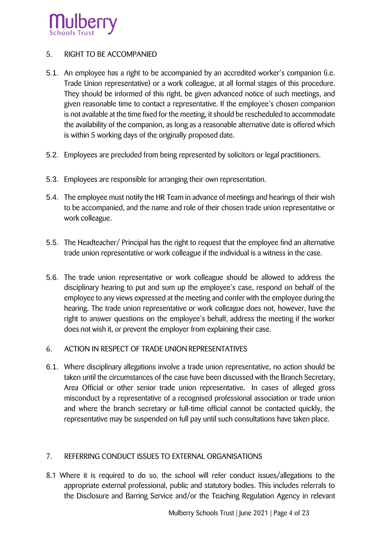

#### <span id="page-5-0"></span>5. RIGHT TO BE ACCOMPANIED

- 5.1. An employee has a right to be accompanied by an accredited worker's companion (i.e. Trade Union representative) or a work colleague, at all formal stages of this procedure. They should be informed of this right, be given advanced notice of such meetings, and given reasonable time to contact a representative. If the employee's chosen companion is not available at the time fixed for the meeting, it should be rescheduled to accommodate the availability of the companion, as long as a reasonable alternative date is offered which is within 5 working days of the originally proposed date.
- 5.2. Employees are precluded from being represented by solicitors or legal practitioners.
- 5.3. Employees are responsible for arranging their own representation.
- 5.4. The employee must notify the HR Team in advance of meetings and hearings of their wish to be accompanied, and the name and role of their chosen trade union representative or work colleague.
- 5.5. The Headteacher/ Principal has the right to request that the employee find an alternative trade union representative or work colleague if the individual is a witness in the case.
- 5.6. The trade union representative or work colleague should be allowed to address the disciplinary hearing to put and sum up the employee's case, respond on behalf of the employee to any views expressed at the meeting and confer with the employee during the hearing. The trade union representative or work colleague does not, however, have the right to answer questions on the employee's behalf, address the meeting if the worker does not wish it, or prevent the employer from explaining their case.
- <span id="page-5-2"></span><span id="page-5-1"></span>6. ACTION IN RESPECT OF TRADE UNION REPRESENTATIVES
- 6.1. Where disciplinary allegations involve a trade union representative, no action should be taken until the circumstances of the case have been discussed with the Branch Secretary, Area Official or other senior trade union representative. In cases of alleged gross misconduct by a representative of a recognised professional association or trade union and where the branch secretary or full-time official cannot be contacted quickly, the representative may be suspended on full pay until such consultations have taken place.

#### <span id="page-5-3"></span>7. REFERRING CONDUCT ISSUES TO EXTERNAL ORGANISATIONS

8.1 Where it is required to do so, the school will refer conduct issues/allegations to the appropriate external professional, public and statutory bodies. This includes referrals to the Disclosure and Barring Service and/or the Teaching Regulation Agency in relevant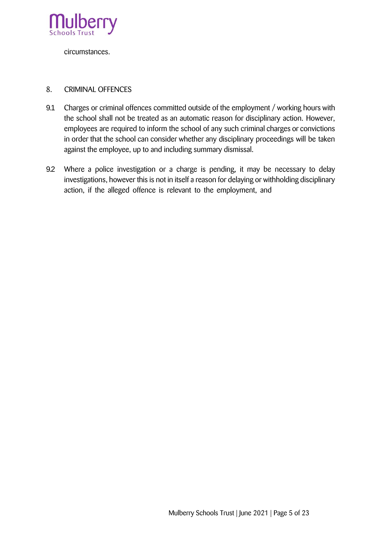

circumstances.

#### <span id="page-6-0"></span>8. CRIMINAL OFFENCES

- 9.1 Charges or criminal offences committed outside of the employment / working hours with the school shall not be treated as an automatic reason for disciplinary action. However, employees are required to inform the school of any such criminal charges or convictions in order that the school can consider whether any disciplinary proceedings will be taken against the employee, up to and including summary dismissal.
- 9.2 Where a police investigation or a charge is pending, it may be necessary to delay investigations, however this is not in itself a reason for delaying or withholding disciplinary action, if the alleged offence is relevant to the employment, and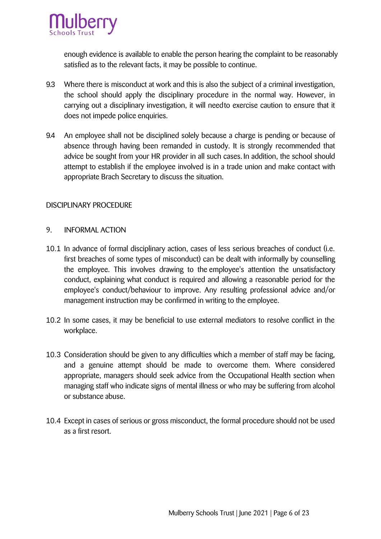

enough evidence is available to enable the person hearing the complaint to be reasonably satisfied as to the relevant facts, it may be possible to continue.

- 9.3 Where there is misconduct at work and this is also the subject of a criminal investigation, the school should apply the disciplinary procedure in the normal way. However, in carrying out a disciplinary investigation, it will needto exercise caution to ensure that it does not impede police enquiries.
- 9.4 An employee shall not be disciplined solely because a charge is pending or because of absence through having been remanded in custody. It is strongly recommended that advice be sought from your HR provider in all such cases. In addition, the school should attempt to establish if the employee involved is in a trade union and make contact with appropriate Brach Secretary to discuss the situation.

#### <span id="page-7-0"></span>DISCIPLINARY PROCEDURE

#### <span id="page-7-1"></span>9. INFORMAL ACTION

- 10.1 In advance of formal disciplinary action, cases of less serious breaches of conduct (i.e. first breaches of some types of misconduct) can be dealt with informally by counselling the employee. This involves drawing to the employee's attention the unsatisfactory conduct, explaining what conduct is required and allowing a reasonable period for the employee's conduct/behaviour to improve. Any resulting professional advice and/or management instruction may be confirmed in writing to the employee.
- 10.2 In some cases, it may be beneficial to use external mediators to resolve conflict in the workplace.
- 10.3 Consideration should be given to any difficulties which a member of staff may be facing, and a genuine attempt should be made to overcome them. Where considered appropriate, managers should seek advice from the Occupational Health section when managing staff who indicate signs of mental illness or who may be suffering from alcohol or substance abuse.
- 10.4 Except in cases of serious or gross misconduct, the formal procedure should not be used as a first resort.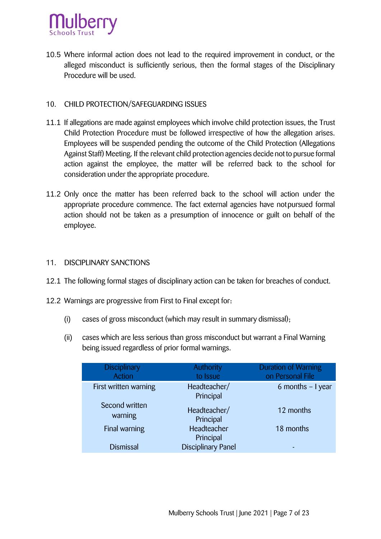

10.5 Where informal action does not lead to the required improvement in conduct, or the alleged misconduct is sufficiently serious, then the formal stages of the Disciplinary Procedure will be used.

#### <span id="page-8-0"></span>10. CHILD PROTECTION/SAFEGUARDING ISSUES

- 11.1 If allegations are made against employees which involve child protection issues, the Trust Child Protection Procedure must be followed irrespective of how the allegation arises. Employees will be suspended pending the outcome of the Child Protection (Allegations Against Staff) Meeting. If the relevant child protection agencies decide not to pursue formal action against the employee, the matter will be referred back to the school for consideration under the appropriate procedure.
- 11.2 Only once the matter has been referred back to the school will action under the appropriate procedure commence. The fact external agencies have notpursued formal action should not be taken as a presumption of innocence or guilt on behalf of the employee.

#### <span id="page-8-1"></span>11. DISCIPLINARY SANCTIONS

- 12.1 The following formal stages of disciplinary action can be taken for breaches of conduct.
- 12.2 Warnings are progressive from First to Final except for:
	- (i) cases of gross misconduct (which may result in summary dismissal);
	- (ii) cases which are less serious than gross misconduct but warrant a Final Warning being issued regardless of prior formal warnings.

| Disciplinary<br>Action    | <b>Authority</b><br>to Issue | <b>Duration of Warning</b><br>on Personal File |
|---------------------------|------------------------------|------------------------------------------------|
| First written warning     | Headteacher/<br>Principal    | 6 months $-1$ year                             |
| Second written<br>warning | Headteacher/<br>Principal    | 12 months                                      |
| Final warning             | Headteacher<br>Principal     | 18 months                                      |
| <b>Dismissal</b>          | <b>Disciplinary Panel</b>    |                                                |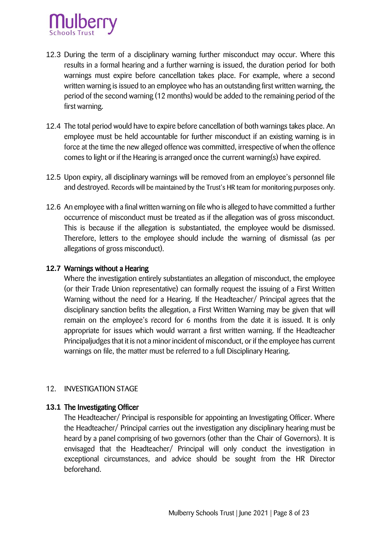

- 12.3 During the term of a disciplinary warning further misconduct may occur. Where this results in a formal hearing and a further warning is issued, the duration period for both warnings must expire before cancellation takes place. For example, where a second written warning is issued to an employee who has an outstanding first written warning, the period of the second warning (12 months) would be added to the remaining period of the first warning.
- 12.4 The total period would have to expire before cancellation of both warnings takes place. An employee must be held accountable for further misconduct if an existing warning is in force at the time the new alleged offence was committed, irrespective of when the offence comes to light or if the Hearing is arranged once the current warning(s) have expired.
- 12.5 Upon expiry, all disciplinary warnings will be removed from an employee's personnel file and destroyed. Records will be maintained by the Trust's HR team for monitoring purposes only.
- 12.6 An employee with a final written warning on file who is alleged to have committed a further occurrence of misconduct must be treated as if the allegation was of gross misconduct. This is because if the allegation is substantiated, the employee would be dismissed. Therefore, letters to the employee should include the warning of dismissal (as per allegations of gross misconduct).

#### **12.7** Warnings without a Hearing

Where the investigation entirely substantiates an allegation of misconduct, the employee (or their Trade Union representative) can formally request the issuing of a First Written Warning without the need for a Hearing. If the Headteacher/ Principal agrees that the disciplinary sanction befits the allegation, a First Written Warning may be given that will remain on the employee's record for 6 months from the date it is issued. It is only appropriate for issues which would warrant a first written warning. If the Headteacher Principaljudges that it is not a minor incident of misconduct, or if the employee has current warnings on file, the matter must be referred to a full Disciplinary Hearing.

#### <span id="page-9-0"></span>12. INVESTIGATION STAGE

#### **13.1** The Investigating Officer

The Headteacher/ Principal is responsible for appointing an Investigating Officer. Where the Headteacher/ Principal carries out the investigation any disciplinary hearing must be heard by a panel comprising of two governors (other than the Chair of Governors). It is envisaged that the Headteacher/ Principal will only conduct the investigation in exceptional circumstances, and advice should be sought from the HR Director beforehand.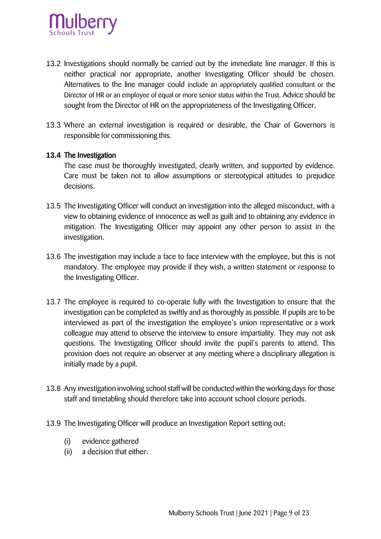

- 13.2 Investigations should normally be carried out by the immediate line manager. If this is neither practical nor appropriate, another Investigating Officer should be chosen. Alternatives to the line manager could include an appropriately qualified consultant or the Director of HR or an employee of equal or more senior status within the Trust. Advice should be sought from the Director of HR on the appropriateness of the Investigating Officer.
- 13.3 Where an external investigation is required or desirable, the Chair of Governors is responsible for commissioning this.

#### **13.4** The Investigation

The case must be thoroughly investigated, clearly written, and supported by evidence. Care must be taken not to allow assumptions or stereotypical attitudes to prejudice decisions.

- 13.5 The Investigating Officer will conduct an investigation into the alleged misconduct, with a view to obtaining evidence of innocence as well as guilt and to obtaining any evidence in mitigation. The Investigating Officer may appoint any other person to assist in the investigation.
- 13.6 The investigation may include a face to face interview with the employee, but this is not mandatory. The employee may provide if they wish, a written statement or response to the Investigating Officer.
- 13.7 The employee is required to co-operate fully with the Investigation to ensure that the investigation can be completed as swiftly and as thoroughly as possible. If pupils are to be interviewed as part of the investigation the employee's union representative or a work colleague may attend to observe the interview to ensure impartiality. They may not ask questions. The Investigating Officer should invite the pupil's parents to attend. This provision does not require an observer at any meeting where a disciplinary allegation is initially made by a pupil.
- 13.8 Any investigation involving school staff will be conducted within the working days for those staff and timetabling should therefore take into account school closure periods.
- 13.9 The Investigating Officer will produce an Investigation Report setting out;
	- (i) evidence gathered
	- (ii) a decision that either: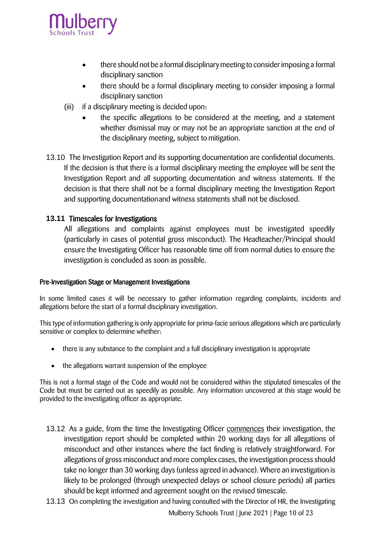

- there should not be a formal disciplinary meeting to consider imposing a formal disciplinary sanction
- there should be a formal disciplinary meeting to consider imposing a formal disciplinary sanction
- (iii) if a disciplinary meeting is decided upon:
	- the specific allegations to be considered at the meeting, and a statement whether dismissal may or may not be an appropriate sanction at the end of the disciplinary meeting, subject to mitigation.
- 13.10 The Investigation Report and its supporting documentation are confidential documents. If the decision is that there is a formal disciplinary meeting the employee will be sent the Investigation Report and all supporting documentation and witness statements. If the decision is that there shall not be a formal disciplinary meeting the Investigation Report and supporting documentationand witness statements shall not be disclosed.

#### **13.11** Timescales for Investigations

All allegations and complaints against employees must be investigated speedily (particularly in cases of potential gross misconduct). The Headteacher/Principal should ensure the Investigating Officer has reasonable time off from normal duties to ensure the investigation is concluded as soon as possible.

#### Pre-Investigation Stage or Management Investigations

In some limited cases it will be necessary to gather information regarding complaints, incidents and allegations before the start of a formal disciplinary investigation.

This type of information gathering is only appropriate for prima-facie serious allegations which are particularly sensitive or complex to determine whether:

- there is any substance to the complaint and a full disciplinary investigation is appropriate
- the allegations warrant suspension of the employee

This is not a formal stage of the Code and would not be considered within the stipulated timescales of the Code but must be carried out as speedily as possible. Any information uncovered at this stage would be provided to the investigating officer as appropriate.

- 13.12 As a guide, from the time the Investigating Officer commences their investigation, the investigation report should be completed within 20 working days for all allegations of misconduct and other instances where the fact finding is relatively straightforward. For allegations of gross misconduct and more complex cases, the investigation process should take no longer than 30 working days (unless agreed in advance). Where an investigation is likely to be prolonged (through unexpected delays or school closure periods) all parties should be kept informed and agreement sought on the revised timescale.
- 13.13 On completing the investigation and having consulted with the Director of HR, the Investigating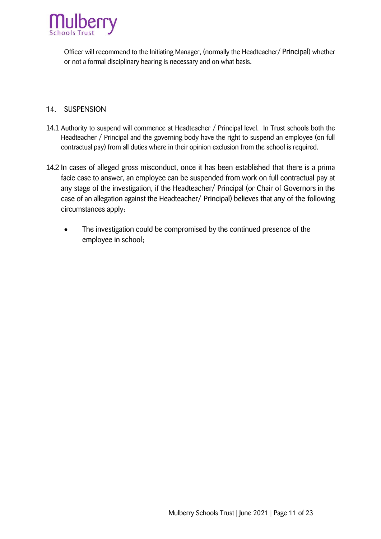

Officer will recommend to the Initiating Manager, (normally the Headteacher/ Principal) whether or not a formal disciplinary hearing is necessary and on what basis.

#### <span id="page-12-0"></span>14. SUSPENSION

- 14.1 Authority to suspend will commence at Headteacher / Principal level. In Trust schools both the Headteacher / Principal and the governing body have the right to suspend an employee (on full contractual pay) from all duties where in their opinion exclusion from the school is required.
- 14.2 In cases of alleged gross misconduct, once it has been established that there is a prima facie case to answer, an employee can be suspended from work on full contractual pay at any stage of the investigation, if the Headteacher/ Principal (or Chair of Governors in the case of an allegation against the Headteacher/ Principal) believes that any of the following circumstances apply:
	- The investigation could be compromised by the continued presence of the employee in school;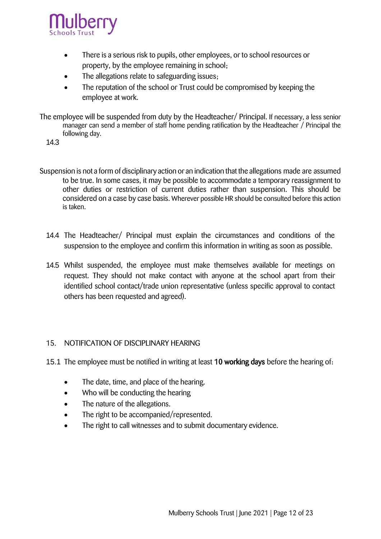

- There is a serious risk to pupils, other employees, or to school resources or property, by the employee remaining in school;
- The allegations relate to safeguarding issues;
- The reputation of the school or Trust could be compromised by keeping the employee at work.
- The employee will be suspended from duty by the Headteacher/ Principal. If necessary, a less senior manager can send a member of staff home pending ratification by the Headteacher / Principal the following day.
	- 14.3
- Suspension is not a form of disciplinary action or an indication that the allegations made are assumed to be true. In some cases, it may be possible to accommodate a temporary reassignment to other duties or restriction of current duties rather than suspension. This should be considered on a case by case basis. Wherever possible HR should be consulted before this action is taken.
	- 14.4 The Headteacher/ Principal must explain the circumstances and conditions of the suspension to the employee and confirm this information in writing as soon as possible.
	- 14.5 Whilst suspended, the employee must make themselves available for meetings on request. They should not make contact with anyone at the school apart from their identified school contact/trade union representative (unless specific approval to contact others has been requested and agreed).

#### <span id="page-13-0"></span>15. NOTIFICATION OF DISCIPLINARY HEARING

- 15.1 The employee must be notified in writing at least 10 working days before the hearing of:
	- The date, time, and place of the hearing.
	- Who will be conducting the hearing
	- The nature of the allegations.
	- The right to be accompanied/represented.
	- The right to call witnesses and to submit documentary evidence.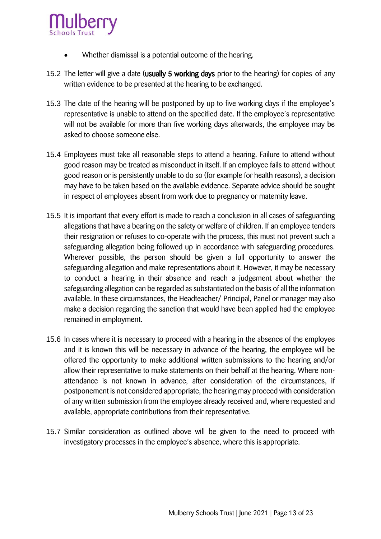

- Whether dismissal is a potential outcome of the hearing.
- 15.2 The letter will give a date (usually 5 working days prior to the hearing) for copies of any written evidence to be presented at the hearing to be exchanged.
- 15.3 The date of the hearing will be postponed by up to five working days if the employee's representative is unable to attend on the specified date. If the employee's representative will not be available for more than five working days afterwards, the employee may be asked to choose someone else.
- 15.4 Employees must take all reasonable steps to attend a hearing. Failure to attend without good reason may be treated as misconduct in itself. If an employee fails to attend without good reason or is persistently unable to do so (for example for health reasons), a decision may have to be taken based on the available evidence. Separate advice should be sought in respect of employees absent from work due to pregnancy or maternity leave.
- 15.5 It is important that every effort is made to reach a conclusion in all cases of safeguarding allegations that have a bearing on the safety or welfare of children. If an employee tenders their resignation or refuses to co-operate with the process, this must not prevent such a safeguarding allegation being followed up in accordance with safeguarding procedures. Wherever possible, the person should be given a full opportunity to answer the safeguarding allegation and make representations about it. However, it may be necessary to conduct a hearing in their absence and reach a judgement about whether the safeguarding allegation can be regarded as substantiated on the basis of all the information available. In these circumstances, the Headteacher/ Principal, Panel or manager may also make a decision regarding the sanction that would have been applied had the employee remained in employment.
- 15.6 In cases where it is necessary to proceed with a hearing in the absence of the employee and it is known this will be necessary in advance of the hearing, the employee will be offered the opportunity to make additional written submissions to the hearing and/or allow their representative to make statements on their behalf at the hearing. Where nonattendance is not known in advance, after consideration of the circumstances, if postponement is not considered appropriate, the hearing may proceed with consideration of any written submission from the employee already received and, where requested and available, appropriate contributions from their representative.
- 15.7 Similar consideration as outlined above will be given to the need to proceed with investigatory processes in the employee's absence, where this is appropriate.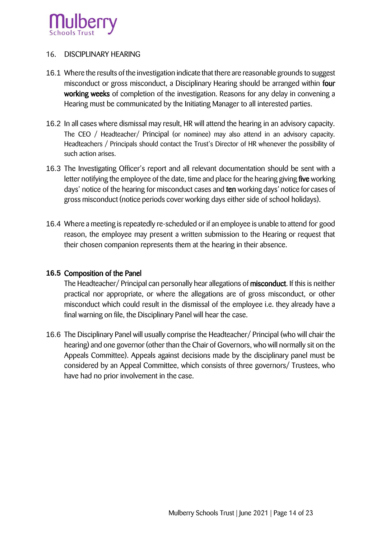

#### <span id="page-15-0"></span>16. DISCIPLINARY HEARING

- 16.1 Where the results of the investigation indicate that there are reasonable grounds to suggest misconduct or gross misconduct, a Disciplinary Hearing should be arranged within four working weeks of completion of the investigation. Reasons for any delay in convening a Hearing must be communicated by the Initiating Manager to all interested parties.
- 16.2 In all cases where dismissal may result, HR will attend the hearing in an advisory capacity. The CEO / Headteacher/ Principal (or nominee) may also attend in an advisory capacity. Headteachers / Principals should contact the Trust's Director of HR whenever the possibility of such action arises.
- 16.3 The Investigating Officer's report and all relevant documentation should be sent with a letter notifying the employee of the date, time and place for the hearing giving five working days' notice of the hearing for misconduct cases and ten working days' notice for cases of gross misconduct (notice periods cover working days either side of school holidays).
- 16.4 Where a meeting is repeatedly re-scheduled or if an employee is unable to attend for good reason, the employee may present a written submission to the Hearing or request that their chosen companion represents them at the hearing in their absence.

#### **16.5** Composition of the Panel

The Headteacher/ Principal can personally hear allegations of misconduct. If this is neither practical nor appropriate, or where the allegations are of gross misconduct, or other misconduct which could result in the dismissal of the employee i.e. they already have a final warning on file, the Disciplinary Panel will hear the case.

16.6 The Disciplinary Panel will usually comprise the Headteacher/ Principal (who will chair the hearing) and one governor (other than the Chair of Governors, who will normally sit on the Appeals Committee). Appeals against decisions made by the disciplinary panel must be considered by an Appeal Committee, which consists of three governors/ Trustees, who have had no prior involvement in the case.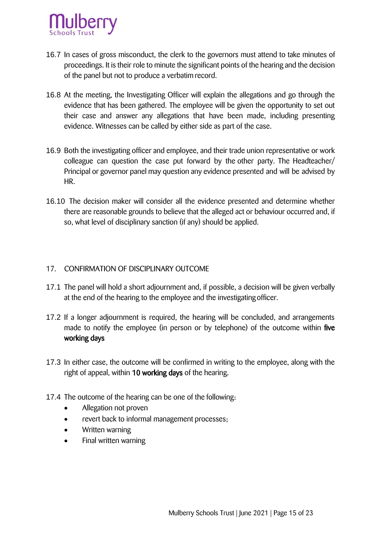

- 16.7 In cases of gross misconduct, the clerk to the governors must attend to take minutes of proceedings. It is their role to minute the significant points of the hearing and the decision of the panel but not to produce a verbatim record.
- 16.8 At the meeting, the Investigating Officer will explain the allegations and go through the evidence that has been gathered. The employee will be given the opportunity to set out their case and answer any allegations that have been made, including presenting evidence. Witnesses can be called by either side as part of the case.
- 16.9 Both the investigating officer and employee, and their trade union representative or work colleague can question the case put forward by the other party. The Headteacher/ Principal or governor panel may question any evidence presented and will be advised by HR.
- 16.10 The decision maker will consider all the evidence presented and determine whether there are reasonable grounds to believe that the alleged act or behaviour occurred and, if so, what level of disciplinary sanction (if any) should be applied.

#### <span id="page-16-0"></span>17. CONFIRMATION OF DISCIPLINARY OUTCOME

- 17.1 The panel will hold a short adjournment and, if possible, a decision will be given verbally at the end of the hearing to the employee and the investigating officer.
- 17.2 If a longer adjournment is required, the hearing will be concluded, and arrangements made to notify the employee (in person or by telephone) of the outcome within five working days
- 17.3 In either case, the outcome will be confirmed in writing to the employee, along with the right of appeal, within 10 working days of the hearing.
- 17.4 The outcome of the hearing can be one of the following:
	- Allegation not proven
	- revert back to informal management processes;
	- Written warning
	- Final written warning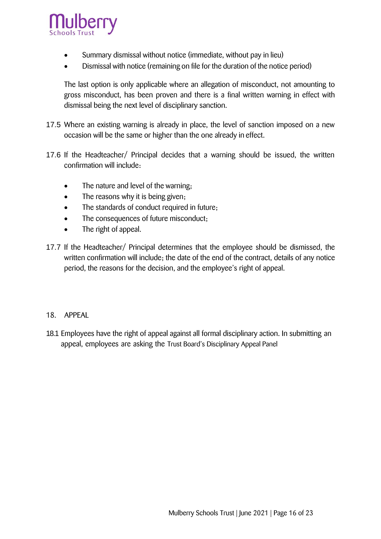

- Summary dismissal without notice (immediate, without pay in lieu)
- Dismissal with notice (remaining on file for the duration of the notice period)

The last option is only applicable where an allegation of misconduct, not amounting to gross misconduct, has been proven and there is a final written warning in effect with dismissal being the next level of disciplinary sanction.

- 17.5 Where an existing warning is already in place, the level of sanction imposed on a new occasion will be the same or higher than the one already in effect.
- 17.6 If the Headteacher/ Principal decides that a warning should be issued, the written confirmation will include:
	- The nature and level of the warning;
	- The reasons why it is being given;
	- The standards of conduct required in future;
	- The consequences of future misconduct;
	- The right of appeal.
- 17.7 If the Headteacher/ Principal determines that the employee should be dismissed, the written confirmation will include; the date of the end of the contract, details of any notice period, the reasons for the decision, and the employee's right of appeal.

#### <span id="page-17-0"></span>18. APPEAL

18.1 Employees have the right of appeal against all formal disciplinary action. In submitting an appeal, employees are asking the Trust Board's Disciplinary Appeal Panel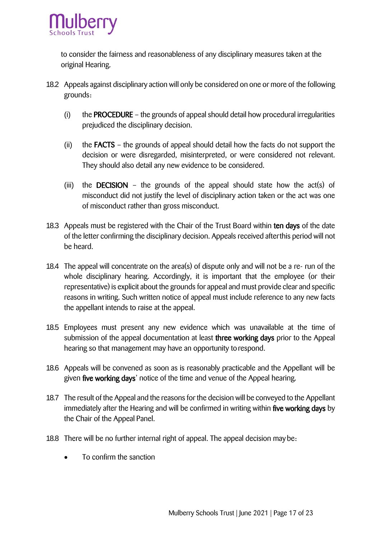

to consider the fairness and reasonableness of any disciplinary measures taken at the original Hearing.

- 18.2 Appeals against disciplinary action will only be considered on one or more of the following grounds:
	- (i) the **PROCEDURE** the grounds of appeal should detail how procedural irregularities prejudiced the disciplinary decision.
	- (ii) the FACTS the grounds of appeal should detail how the facts do not support the decision or were disregarded, misinterpreted, or were considered not relevant. They should also detail any new evidence to be considered.
	- (iii) the DECISION the grounds of the appeal should state how the act(s) of misconduct did not justify the level of disciplinary action taken or the act was one of misconduct rather than gross misconduct.
- 18.3 Appeals must be registered with the Chair of the Trust Board within ten days of the date of the letter confirming the disciplinary decision. Appeals received afterthis period will not be heard.
- 18.4 The appeal will concentrate on the area(s) of dispute only and will not be a re- run of the whole disciplinary hearing. Accordingly, it is important that the employee (or their representative) is explicit about the grounds for appeal and must provide clear and specific reasons in writing. Such written notice of appeal must include reference to any new facts the appellant intends to raise at the appeal.
- 18.5 Employees must present any new evidence which was unavailable at the time of submission of the appeal documentation at least three working days prior to the Appeal hearing so that management may have an opportunity to respond.
- 18.6 Appeals will be convened as soon as is reasonably practicable and the Appellant will be given five working days' notice of the time and venue of the Appeal hearing.
- 18.7 The result of the Appeal and the reasons for the decision will be conveyed to the Appellant immediately after the Hearing and will be confirmed in writing within five working days by the Chair of the Appeal Panel.
- 18.8 There will be no further internal right of appeal. The appeal decision may be:
	- To confirm the sanction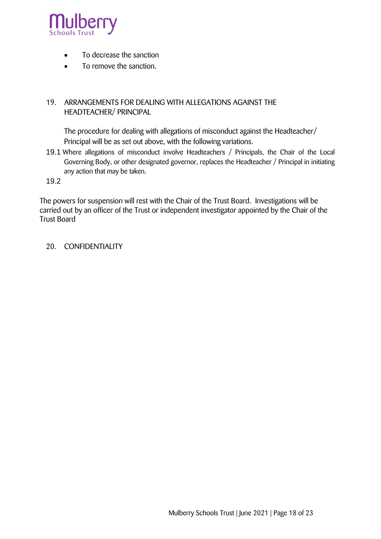

- To decrease the sanction
- To remove the sanction.

#### <span id="page-19-0"></span>19. ARRANGEMENTS FOR DEALING WITH ALLEGATIONS AGAINST THE HEADTEACHER/ PRINCIPAL

The procedure for dealing with allegations of misconduct against the Headteacher/ Principal will be as set out above, with the following variations.

19.1 Where allegations of misconduct involve Headteachers / Principals, the Chair of the Local Governing Body, or other designated governor, replaces the Headteacher / Principal in initiating any action that may be taken.

19.2

The powers for suspension will rest with the Chair of the Trust Board. Investigations will be carried out by an officer of the Trust or independent investigator appointed by the Chair of the Trust Board

<span id="page-19-1"></span>20. CONFIDENTIALITY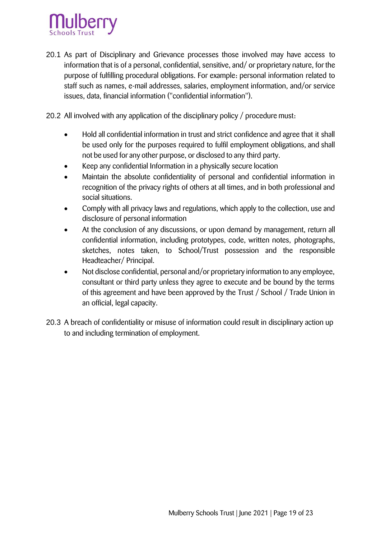

- 20.1 As part of Disciplinary and Grievance processes those involved may have access to information that is of a personal, confidential, sensitive, and/ or proprietary nature, for the purpose of fulfilling procedural obligations. For example: personal information related to staff such as names, e-mail addresses, salaries, employment information, and/or service issues, data, financial information ("confidential information").
- 20.2 All involved with any application of the disciplinary policy / procedure must:
	- Hold all confidential information in trust and strict confidence and agree that it shall be used only for the purposes required to fulfil employment obligations, and shall not be used for any other purpose, or disclosed to any third party.
	- Keep any confidential Information in a physically secure location
	- Maintain the absolute confidentiality of personal and confidential information in recognition of the privacy rights of others at all times, and in both professional and social situations.
	- Comply with all privacy laws and regulations, which apply to the collection, use and disclosure of personal information
	- At the conclusion of any discussions, or upon demand by management, return all confidential information, including prototypes, code, written notes, photographs, sketches, notes taken, to School/Trust possession and the responsible Headteacher/ Principal.
	- Not disclose confidential, personal and/or proprietary information to any employee, consultant or third party unless they agree to execute and be bound by the terms of this agreement and have been approved by the Trust / School / Trade Union in an official, legal capacity.
- <span id="page-20-0"></span>20.3 A breach of confidentiality or misuse of information could result in disciplinary action up to and including termination of employment.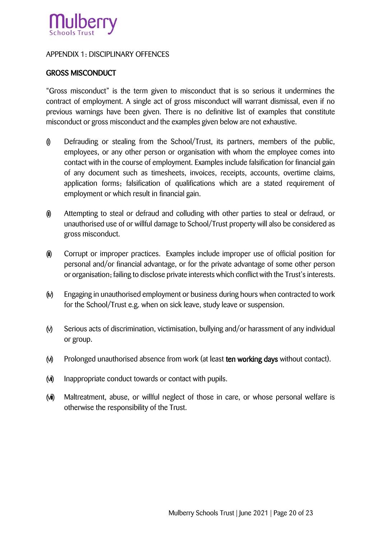

#### <span id="page-21-0"></span>APPENDIX 1: DISCIPLINARY OFFENCES

#### GROSS MISCONDUCT

"Gross misconduct" is the term given to misconduct that is so serious it undermines the contract of employment. A single act of gross misconduct will warrant dismissal, even if no previous warnings have been given. There is no definitive list of examples that constitute misconduct or gross misconduct and the examples given below are not exhaustive.

- (i) Defrauding or stealing from the School/Trust, its partners, members of the public, employees, or any other person or organisation with whom the employee comes into contact with in the course of employment. Examples include falsification for financial gain of any document such as timesheets, invoices, receipts, accounts, overtime claims, application forms; falsification of qualifications which are a stated requirement of employment or which result in financial gain.
- (ii) Attempting to steal or defraud and colluding with other parties to steal or defraud, or unauthorised use of or willful damage to School/Trust property will also be considered as gross misconduct.
- (iii) Corrupt or improper practices. Examples include improper use of official position for personal and/or financial advantage, or for the private advantage of some other person or organisation; failing to disclose private interests which conflict with the Trust's interests.
- (iv) Engaging in unauthorised employment or business during hours when contracted to work for the School/Trust e.g. when on sick leave, study leave or suspension.
- (v) Serious acts of discrimination, victimisation, bullying and/or harassment of any individual or group.
- (vi) Prolonged unauthorised absence from work (at least ten working days without contact).
- (vii) Inappropriate conduct towards or contact with pupils.
- ( $\vec{w}$ ) Maltreatment, abuse, or willful neglect of those in care, or whose personal welfare is otherwise the responsibility of the Trust.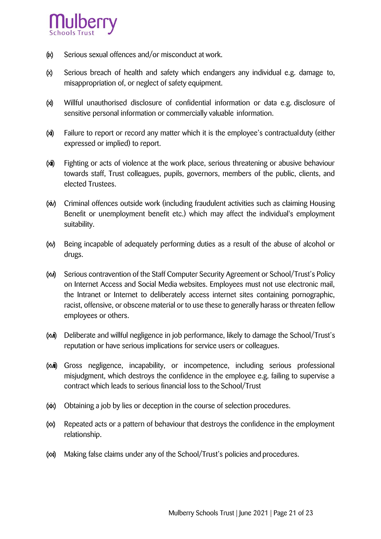

- (ix) Serious sexual offences and/or misconduct at work.
- (x) Serious breach of health and safety which endangers any individual e.g. damage to, misappropriation of, or neglect of safety equipment.
- (xi) Willful unauthorised disclosure of confidential information or data e.g. disclosure of sensitive personal information or commercially valuable information.
- (xii) Failure to report or record any matter which it is the employee's contractualduty (either expressed or implied) to report.
- (xiii) Fighting or acts of violence at the work place, serious threatening or abusive behaviour towards staff, Trust colleagues, pupils, governors, members of the public, clients, and elected Trustees.
- (xiv) Criminal offences outside work (including fraudulent activities such as claiming Housing Benefit or unemployment benefit etc.) which may affect the individual's employment suitability.
- (xv) Being incapable of adequately performing duties as a result of the abuse of alcohol or drugs.
- (xvi) Serious contravention of the Staff Computer Security Agreement or School/Trust's Policy on Internet Access and Social Media websites. Employees must not use electronic mail, the Intranet or Internet to deliberately access internet sites containing pornographic, racist, offensive, or obscene material or to use these to generally harass or threaten fellow employees or others.
- (xvii) Deliberate and willful negligence in job performance, likely to damage the School/Trust's reputation or have serious implications for service users or colleagues.
- (xviii) Gross negligence, incapability, or incompetence, including serious professional misjudgment, which destroys the confidence in the employee e.g. failing to supervise a contract which leads to serious financial loss to the School/Trust
- (xix) Obtaining a job by lies or deception in the course of selection procedures.
- (xx) Repeated acts or a pattern of behaviour that destroys the confidence in the employment relationship.
- (xxi) Making false claims under any of the School/Trust's policies and procedures.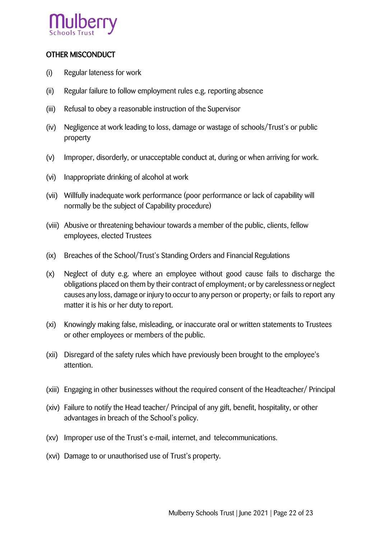

#### OTHER MISCONDUCT

- (i) Regular lateness for work
- (ii) Regular failure to follow employment rules e.g. reporting absence
- (iii) Refusal to obey a reasonable instruction of the Supervisor
- (iv) Negligence at work leading to loss, damage or wastage of schools/Trust's or public property
- (v) Improper, disorderly, or unacceptable conduct at, during or when arriving for work.
- (vi) Inappropriate drinking of alcohol at work
- (vii) Willfully inadequate work performance (poor performance or lack of capability will normally be the subject of Capability procedure)
- (viii) Abusive or threatening behaviour towards a member of the public, clients, fellow employees, elected Trustees
- (ix) Breaches of the School/Trust's Standing Orders and Financial Regulations
- (x) Neglect of duty e.g. where an employee without good cause fails to discharge the obligations placed on them by their contract of employment; or by carelessness orneglect causes any loss, damage or injury to occur to any person or property; or fails to report any matter it is his or her duty to report.
- (xi) Knowingly making false, misleading, or inaccurate oral or written statements to Trustees or other employees or members of the public.
- (xii) Disregard of the safety rules which have previously been brought to the employee's attention.
- (xiii) Engaging in other businesses without the required consent of the Headteacher/ Principal
- (xiv) Failure to notify the Head teacher/ Principal of any gift, benefit, hospitality, or other advantages in breach of the School's policy.
- (xv) Improper use of the Trust's e-mail, internet, and telecommunications.
- (xvi) Damage to or unauthorised use of Trust's property.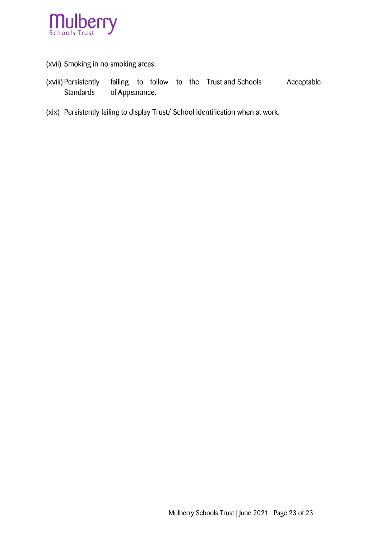

(xvii) Smoking in no smoking areas.

- (xviii) Persistently failing to follow to the Trust and Schools Acceptable Standards of Appearance.
- (xix) Persistently failing to display Trust/ School identification when at work.